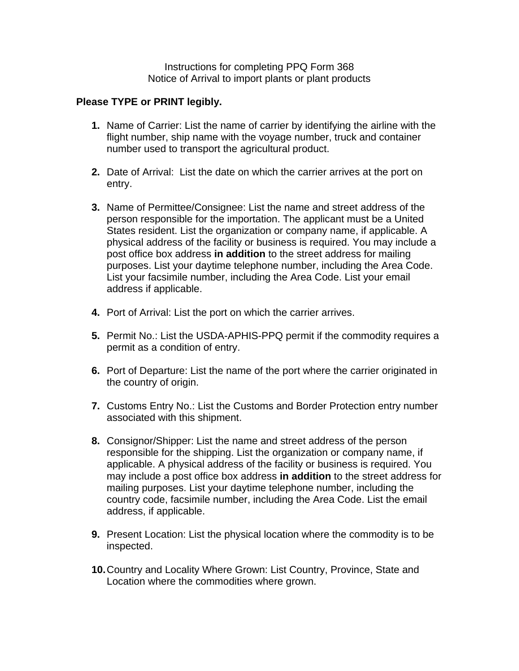Instructions for completing PPQ Form 368 Notice of Arrival to import plants or plant products

## **Please TYPE or PRINT legibly.**

- **1.** Name of Carrier: List the name of carrier by identifying the airline with the flight number, ship name with the voyage number, truck and container number used to transport the agricultural product.
- **2.** Date of Arrival: List the date on which the carrier arrives at the port on entry.
- **3.** Name of Permittee/Consignee: List the name and street address of the person responsible for the importation. The applicant must be a United States resident. List the organization or company name, if applicable. A physical address of the facility or business is required. You may include a post office box address **in addition** to the street address for mailing purposes. List your daytime telephone number, including the Area Code. List your facsimile number, including the Area Code. List your email address if applicable.
- **4.** Port of Arrival: List the port on which the carrier arrives.
- **5.** Permit No.: List the USDA-APHIS-PPQ permit if the commodity requires a permit as a condition of entry.
- **6.** Port of Departure: List the name of the port where the carrier originated in the country of origin.
- **7.** Customs Entry No.: List the Customs and Border Protection entry number associated with this shipment.
- **8.** Consignor/Shipper: List the name and street address of the person responsible for the shipping. List the organization or company name, if applicable. A physical address of the facility or business is required. You may include a post office box address **in addition** to the street address for mailing purposes. List your daytime telephone number, including the country code, facsimile number, including the Area Code. List the email address, if applicable.
- **9.** Present Location: List the physical location where the commodity is to be inspected.
- **10.** Country and Locality Where Grown: List Country, Province, State and Location where the commodities where grown.